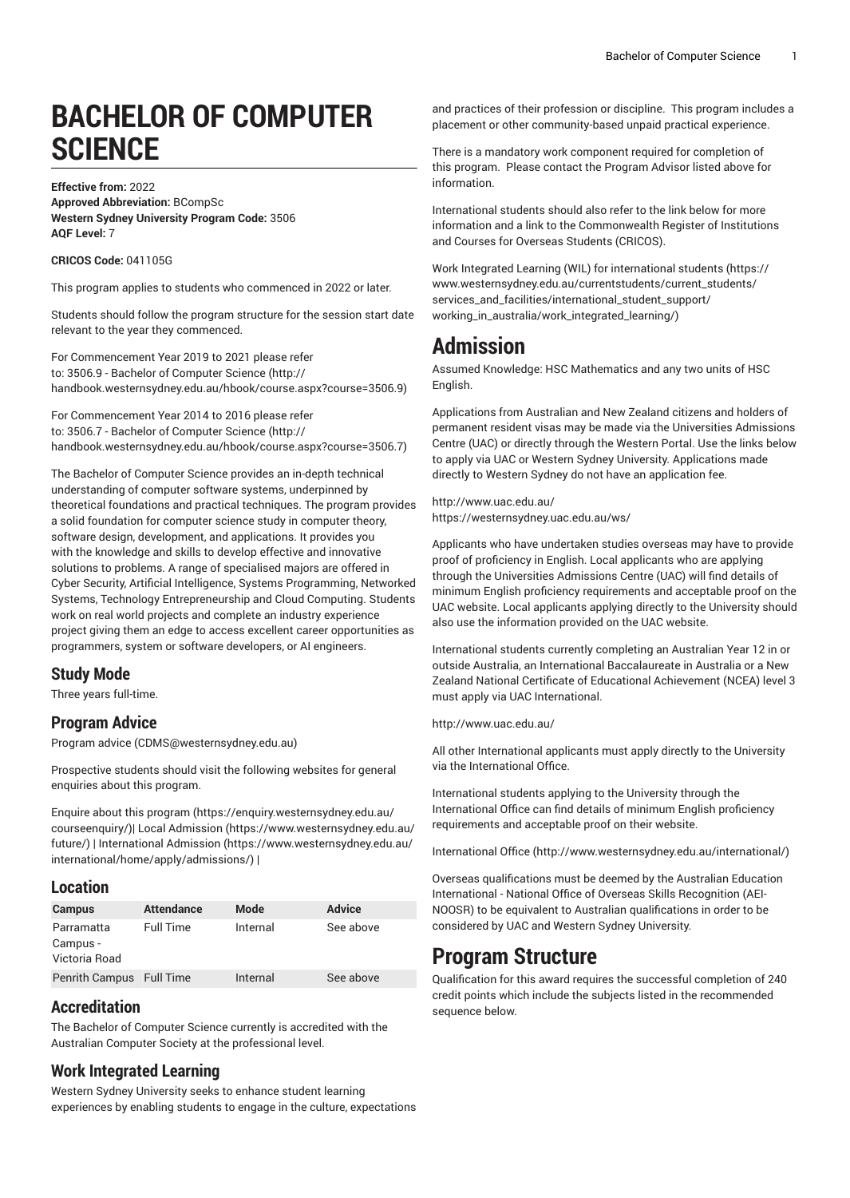# **BACHELOR OF COMPUTER SCIENCE**

#### **Effective from:** 2022 **Approved Abbreviation:** BCompSc **Western Sydney University Program Code:** 3506 **AQF Level:** 7

#### **CRICOS Code:** 041105G

This program applies to students who commenced in 2022 or later.

Students should follow the program structure for the session start date relevant to the year they commenced.

For [Commencement](http://handbook.westernsydney.edu.au/hbook/course.aspx?course=3506.9) Year 2019 to 2021 please refer [to: 3506.9 - Bachelor of Computer Science](http://handbook.westernsydney.edu.au/hbook/course.aspx?course=3506.9) ([http://](http://handbook.westernsydney.edu.au/hbook/course.aspx?course=3506.9) [handbook.westernsydney.edu.au/hbook/course.aspx?course=3506.9\)](http://handbook.westernsydney.edu.au/hbook/course.aspx?course=3506.9)

For [Commencement](http://handbook.westernsydney.edu.au/hbook/course.aspx?course=3506.7) Year 2014 to 2016 please refer [to: 3506.7 - Bachelor of Computer Science](http://handbook.westernsydney.edu.au/hbook/course.aspx?course=3506.7) ([http://](http://handbook.westernsydney.edu.au/hbook/course.aspx?course=3506.7) [handbook.westernsydney.edu.au/hbook/course.aspx?course=3506.7\)](http://handbook.westernsydney.edu.au/hbook/course.aspx?course=3506.7)

The Bachelor of Computer Science provides an in-depth technical understanding of computer software systems, underpinned by theoretical foundations and practical techniques. The program provides a solid foundation for computer science study in computer theory, software design, development, and applications. It provides you with the knowledge and skills to develop effective and innovative solutions to problems. A range of specialised majors are offered in Cyber Security, Artificial Intelligence, Systems Programming, Networked Systems, Technology Entrepreneurship and Cloud Computing. Students work on real world projects and complete an industry experience project giving them an edge to access excellent career opportunities as programmers, system or software developers, or AI engineers.

#### **Study Mode**

Three years full-time.

### **Program Advice**

[Program](mailto:CDMS@westernsydney.edu.au) advice [\(CDMS@westernsydney.edu.au\)](CDMS@westernsydney.edu.au)

Prospective students should visit the following websites for general enquiries about this program.

Enquire about this [program \(https://enquiry.westernsydney.edu.au/](https://enquiry.westernsydney.edu.au/courseenquiry/) [courseenquiry/](https://enquiry.westernsydney.edu.au/courseenquiry/))| [Local Admission \(https://www.westernsydney.edu.au/](https://www.westernsydney.edu.au/future/) [future/\)](https://www.westernsydney.edu.au/future/) | [International Admission](https://www.westernsydney.edu.au/international/home/apply/admissions/) ([https://www.westernsydney.edu.au/](https://www.westernsydney.edu.au/international/home/apply/admissions/) [international/home/apply/admissions/](https://www.westernsydney.edu.au/international/home/apply/admissions/)) |

### **Location**

| <b>Campus</b>            | <b>Attendance</b> | Mode     | <b>Advice</b> |
|--------------------------|-------------------|----------|---------------|
| Parramatta               | <b>Full Time</b>  | Internal | See above     |
| Campus -                 |                   |          |               |
| Victoria Road            |                   |          |               |
| Penrith Campus Full Time |                   | Internal | See above     |

### **Accreditation**

The Bachelor of Computer Science currently is accredited with the Australian Computer Society at the professional level.

### **Work Integrated Learning**

Western Sydney University seeks to enhance student learning experiences by enabling students to engage in the culture, expectations and practices of their profession or discipline. This program includes a placement or other community-based unpaid practical experience.

There is a mandatory work component required for completion of this program. Please contact the Program Advisor listed above for information.

International students should also refer to the link below for more information and a link to the Commonwealth Register of Institutions and Courses for Overseas Students (CRICOS).

Work Integrated Learning (WIL) for [international](https://www.westernsydney.edu.au/currentstudents/current_students/services_and_facilities/international_student_support/working_in_australia/work_integrated_learning/) students ([https://](https://www.westernsydney.edu.au/currentstudents/current_students/services_and_facilities/international_student_support/working_in_australia/work_integrated_learning/) [www.westernsydney.edu.au/currentstudents/current\\_students/](https://www.westernsydney.edu.au/currentstudents/current_students/services_and_facilities/international_student_support/working_in_australia/work_integrated_learning/) [services\\_and\\_facilities/international\\_student\\_support/](https://www.westernsydney.edu.au/currentstudents/current_students/services_and_facilities/international_student_support/working_in_australia/work_integrated_learning/) [working\\_in\\_australia/work\\_integrated\\_learning/](https://www.westernsydney.edu.au/currentstudents/current_students/services_and_facilities/international_student_support/working_in_australia/work_integrated_learning/))

### **Admission**

Assumed Knowledge: HSC Mathematics and any two units of HSC English.

Applications from Australian and New Zealand citizens and holders of permanent resident visas may be made via the Universities Admissions Centre (UAC) or directly through the Western Portal. Use the links below to apply via UAC or Western Sydney University. Applications made directly to Western Sydney do not have an application fee.

<http://www.uac.edu.au/> <https://westernsydney.uac.edu.au/ws/>

Applicants who have undertaken studies overseas may have to provide proof of proficiency in English. Local applicants who are applying through the Universities Admissions Centre (UAC) will find details of minimum English proficiency requirements and acceptable proof on the UAC website. Local applicants applying directly to the University should also use the information provided on the UAC website.

International students currently completing an Australian Year 12 in or outside Australia, an International Baccalaureate in Australia or a New Zealand National Certificate of Educational Achievement (NCEA) level 3 must apply via UAC International.

<http://www.uac.edu.au/>

All other International applicants must apply directly to the University via the International Office.

International students applying to the University through the International Office can find details of minimum English proficiency requirements and acceptable proof on their website.

[International Office](http://www.westernsydney.edu.au/international/) ([http://www.westernsydney.edu.au/international/\)](http://www.westernsydney.edu.au/international/)

Overseas qualifications must be deemed by the Australian Education International - National Office of Overseas Skills Recognition (AEI-NOOSR) to be equivalent to Australian qualifications in order to be considered by UAC and Western Sydney University.

### **Program Structure**

Qualification for this award requires the successful completion of 240 credit points which include the subjects listed in the recommended sequence below.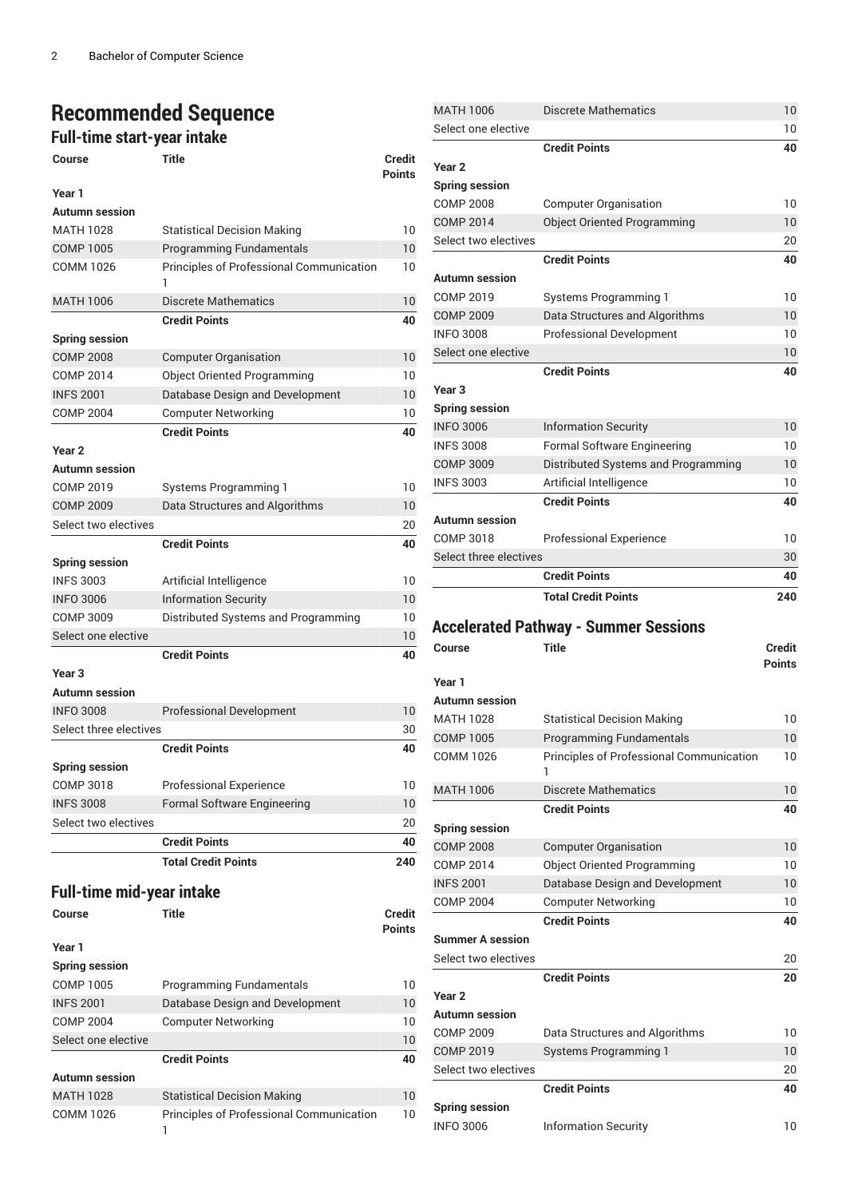## **Recommended Sequence**

### **Full-time start-year intake**

| <b>Course</b>                    | <b>Title</b>                             | <b>Credit</b><br>Points |
|----------------------------------|------------------------------------------|-------------------------|
| Year 1                           |                                          |                         |
| <b>Autumn</b> session            |                                          |                         |
| MATH 1028                        | <b>Statistical Decision Making</b>       | 10                      |
| <b>COMP 1005</b>                 | <b>Programming Fundamentals</b>          | 10                      |
| <b>COMM 1026</b>                 | Principles of Professional Communication | 10                      |
| <b>MATH 1006</b>                 | <b>Discrete Mathematics</b>              | 10                      |
|                                  | <b>Credit Points</b>                     | 40                      |
| <b>Spring session</b>            |                                          |                         |
| <b>COMP 2008</b>                 | <b>Computer Organisation</b>             | 10                      |
| <b>COMP 2014</b>                 | <b>Object Oriented Programming</b>       | 10                      |
| <b>INFS 2001</b>                 | Database Design and Development          | 10                      |
| <b>COMP 2004</b>                 | <b>Computer Networking</b>               | 10                      |
|                                  | <b>Credit Points</b>                     | 40                      |
| Year 2                           |                                          |                         |
| <b>Autumn</b> session            |                                          |                         |
| COMP 2019                        | <b>Systems Programming 1</b>             | 10                      |
| <b>COMP 2009</b>                 | Data Structures and Algorithms           | 10                      |
| Select two electives             |                                          | 20                      |
|                                  | <b>Credit Points</b>                     | 40                      |
| <b>Spring session</b>            |                                          |                         |
| <b>INFS 3003</b>                 | Artificial Intelligence                  | 10                      |
| <b>INFO 3006</b>                 | <b>Information Security</b>              | 10                      |
| <b>COMP 3009</b>                 | Distributed Systems and Programming      | 10                      |
| Select one elective              |                                          | 10                      |
|                                  | <b>Credit Points</b>                     | 40                      |
| Year <sub>3</sub>                |                                          |                         |
| <b>Autumn</b> session            |                                          |                         |
| <b>INFO 3008</b>                 | <b>Professional Development</b>          | 10                      |
| Select three electives           |                                          | 30                      |
|                                  | <b>Credit Points</b>                     | 40                      |
| <b>Spring session</b>            |                                          |                         |
| <b>COMP 3018</b>                 | <b>Professional Experience</b>           | 10                      |
| <b>INFS 3008</b>                 | <b>Formal Software Engineering</b>       | 10                      |
| Select two electives             |                                          | 20                      |
|                                  | <b>Credit Points</b>                     | 40                      |
|                                  | <b>Total Credit Points</b>               | 240                     |
|                                  |                                          |                         |
| <b>Full-time mid-year intake</b> |                                          |                         |
| Course                           | <b>Title</b>                             | Credit                  |
|                                  |                                          | Points                  |
| Year 1                           |                                          |                         |
| <b>Spring session</b>            |                                          |                         |
| <b>COMP 1005</b>                 | <b>Programming Fundamentals</b>          | 10                      |
| <b>INFS 2001</b>                 | Database Design and Development          | 10                      |
| <b>COMP 2004</b>                 | <b>Computer Networking</b>               | 10                      |
| Select one elective              |                                          | 10                      |
|                                  | <b>Credit Points</b>                     | 40                      |
| <b>Autumn session</b>            |                                          |                         |

MATH 1028 Statistical Decision Making 10 COMM 1026 Principles of Professional Communication

10

1

| <b>MATH 1006</b>                          | <b>Discrete Mathematics</b>                  | 10              |
|-------------------------------------------|----------------------------------------------|-----------------|
| Select one elective                       |                                              | 10              |
|                                           | <b>Credit Points</b>                         | 40              |
| Year <sub>2</sub>                         |                                              |                 |
| <b>Spring session</b>                     |                                              |                 |
| <b>COMP 2008</b>                          | <b>Computer Organisation</b>                 | 10              |
| <b>COMP 2014</b>                          | <b>Object Oriented Programming</b>           | 10 <sup>°</sup> |
| Select two electives                      |                                              | 20              |
|                                           | <b>Credit Points</b>                         | 40              |
| Autumn session                            |                                              |                 |
| COMP 2019                                 | Systems Programming 1                        | 10              |
| <b>COMP 2009</b>                          | Data Structures and Algorithms               | 10              |
| <b>INFO 3008</b>                          | <b>Professional Development</b>              | 10              |
| Select one elective                       |                                              | 10              |
|                                           | <b>Credit Points</b>                         | 40              |
| Year <sub>3</sub>                         |                                              |                 |
| <b>Spring session</b>                     |                                              |                 |
| <b>INFO 3006</b>                          | <b>Information Security</b>                  | 10              |
| <b>INFS 3008</b>                          | <b>Formal Software Engineering</b>           | 10              |
| <b>COMP 3009</b>                          | Distributed Systems and Programming          | 10              |
| <b>INFS 3003</b>                          | Artificial Intelligence                      | 10              |
|                                           | <b>Credit Points</b>                         | 40              |
| Autumn session                            |                                              |                 |
| COMP 3018                                 | <b>Professional Experience</b>               | 10              |
| Select three electives                    |                                              | 30              |
|                                           | <b>Credit Points</b>                         | 40              |
|                                           | <b>Total Credit Points</b>                   | 240             |
|                                           |                                              |                 |
|                                           |                                              |                 |
|                                           | <b>Accelerated Pathway - Summer Sessions</b> |                 |
| Course                                    | <b>Title</b>                                 | <b>Credit</b>   |
|                                           |                                              | <b>Points</b>   |
| Year 1                                    |                                              |                 |
| Autumn session                            |                                              |                 |
| <b>MATH 1028</b>                          | <b>Statistical Decision Making</b>           | 10              |
| <b>COMP 1005</b>                          | <b>Programming Fundamentals</b>              | 10              |
| COMM 1026                                 | Principles of Professional Communication     | 10              |
|                                           |                                              |                 |
| <b>MATH 1006</b>                          | <b>Discrete Mathematics</b>                  | 10              |
|                                           | <b>Credit Points</b>                         | 40              |
| <b>Spring session</b>                     |                                              |                 |
| <b>COMP 2008</b>                          | <b>Computer Organisation</b>                 | 10              |
| <b>COMP 2014</b>                          | <b>Object Oriented Programming</b>           | 10              |
| <b>INFS 2001</b>                          | Database Design and Development              | 10              |
| <b>COMP 2004</b>                          | <b>Computer Networking</b>                   | 10              |
|                                           | <b>Credit Points</b>                         | 40              |
| <b>Summer A session</b>                   |                                              |                 |
| Select two electives                      |                                              | 20              |
|                                           | <b>Credit Points</b>                         | 20              |
| Year <sub>2</sub>                         |                                              |                 |
| Autumn session                            |                                              |                 |
| <b>COMP 2009</b>                          | Data Structures and Algorithms               | 10              |
| <b>COMP 2019</b>                          | <b>Systems Programming 1</b>                 | 10 <sup>°</sup> |
| Select two electives                      |                                              | 20              |
|                                           | <b>Credit Points</b>                         | 40              |
| <b>Spring session</b><br><b>INFO 3006</b> | <b>Information Security</b>                  | 10              |